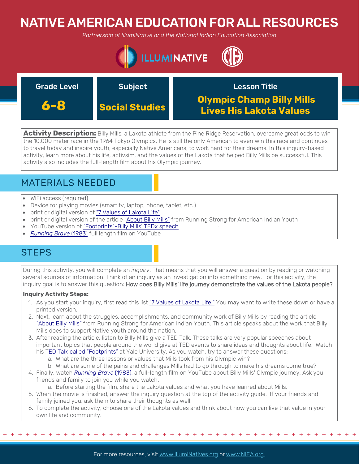# NATIVE AMERICAN EDUCATION FOR ALL RESOURCES

*Partnership of IllumiNative and the National Indian Education Association*



| <b>Grade Level</b> | <b>Subject</b>        | <b>Lesson Title</b>                                         |
|--------------------|-----------------------|-------------------------------------------------------------|
| 6-8                | <b>Social Studies</b> | <b>Olympic Champ Billy Mills</b><br>Lives His Lakota Values |

**Activity Description:** Billy Mills, a Lakota athlete from the Pine Ridge Reservation, overcame great odds to win the 10,000 meter race in the 1964 Tokyo Olympics. He is still the only American to even win this race and continues to travel today and inspire youth, especially Native Americans, to work hard for their dreams. In this inquiry-based activity, learn more about his life, activsim, and the values of the Lakota that helped Billy Mills be successful. This activity also includes the full-length film about his Olympic journey.

## MATERIALS NEEDED

- WiFi access (required)
- Device for playing movies (smart tv, laptop, phone, tablet, etc.)
- print or digital version of "[7 Values of Lakota Life"](https://sites.google.com/site/sguvcte/seven-values-of-lakota-life)
- print or digital version of the article ["About Billy Mills"](https://indianyouth.org/billy-mills) from Running Strong for American Indian Youth
- YouTube version of ["Footprints"-Billy Mills' TEDx speech](https://www.youtube.com/watch?v=PkrhWE1TSkM)
- *[Running Brave](https://www.youtube.com/watch?v=9CY5PrJI8e0)* (1983) full length film on YouTube

## **STEPS**

During this activity, you will complete an *inquiry*. That means that you will answer a question by reading or watching several sources of information. Think of an inquiry as an investigation into something new. For this activity, the inquiry goal is to answer this question: How does Billy Mills' life journey demonstrate the values of the Lakota people?

### **Inquiry Activity Steps:**

- 1. As you start your inquiry, first read this list "[7 Values of Lakota Life."](https://sites.google.com/site/sguvcte/seven-values-of-lakota-life) You may want to write these down or have a printed version.
- 2. Next, learn about the struggles, accomplishments, and community work of Billy Mills by reading the article ["About Billy Mills"](https://indianyouth.org/billy-mills) from Running Strong for American Indian Youth. This article speaks about the work that Billy Mills does to support Native youth around the nation.
- 3. After reading the article, listen to Billy Mills give a TED Talk. These talks are very popular speeches about important topics that people around the world give at TED events to share ideas and thoughts about life. Watch his [TED Talk called "Footprints"](https://www.youtube.com/watch?v=PkrhWE1TSkM) at Yale University. As you watch, try to answer these questions:
	- a. What are the three lessons or values that Mills took from his Olympic win?
	- b. What are some of the pains and challenges Mills had to go through to make his dreams come true?
- 4. Finally, watch *[Running Brave](https://www.youtube.com/watch?v=9CY5PrJI8e0)* (1983), a full-length film on YouTube about Billy Mills' Olympic journey. Ask you friends and family to join you while you watch.

a. Before starting the film, share the Lakota values and what you have learned about Mills.

- 5. When the movie is finished, answer the inquiry question at the top of the activity guide. If your friends and family joined you, ask them to share their thoughts as well.
- 6. To complete the activity, choose one of the Lakota values and think about how you can live that value in your own life and community.

+ + + + + + + + + + + + + + + + + + + + + + + + + + + + + + + + + + + + + + + + + + + + + + + +